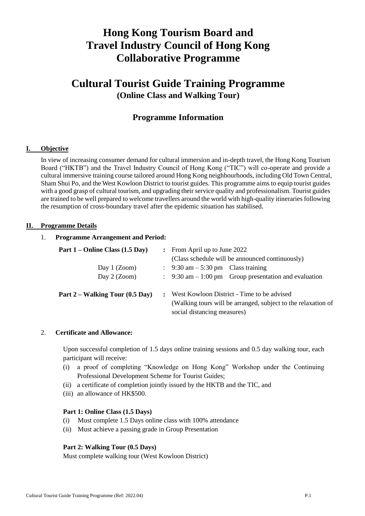# **Hong Kong Tourism Board and Travel Industry Council of Hong Kong Collaborative Programme**

## **Cultural Tourist Guide Training Programme (Online Class and Walking Tour)**

## **Programme Information**

## **I. Objective**

In view of increasing consumer demand for cultural immersion and in-depth travel, the Hong Kong Tourism Board ("HKTB") and the Travel Industry Council of Hong Kong ("TIC") will co-operate and provide a cultural immersive training course tailored around Hong Kong neighbourhoods, including Old Town Central, Sham Shui Po, and the West Kowloon District to tourist guides. This programme aims to equip tourist guides with a good grasp of cultural tourism, and upgrading their service quality and professionalism. Tourist guides are trained to be well prepared to welcome travellers around the world with high-quality itineraries following the resumption of cross-boundary travel after the epidemic situation has stabilised.

#### **II. Programme Details**

#### 1. **Programme Arrangement and Period:**

| Part 1 – Online Class (1.5 Day) |                      | $\therefore$ From April up to June 2022                                                                                                    |  |
|---------------------------------|----------------------|--------------------------------------------------------------------------------------------------------------------------------------------|--|
|                                 |                      | (Class schedule will be announced continuously)                                                                                            |  |
| Day 1 $(Zoom)$                  |                      | $\therefore$ 9:30 am – 5:30 pm Class training                                                                                              |  |
| Day $2$ (Zoom)                  |                      | $\therefore$ 9:30 am – 1:00 pm Group presentation and evaluation                                                                           |  |
| Part 2 – Walking Tour (0.5 Day) | $\ddot{\phantom{a}}$ | West Kowloon District - Time to be advised<br>(Walking tours will be arranged, subject to the relaxation of<br>social distancing measures) |  |

#### 2. **Certificate and Allowance:**

Upon successful completion of 1.5 days online training sessions and 0.5 day walking tour, each participant will receive:

- (i) a proof of completing "Knowledge on Hong Kong" Workshop under the Continuing Professional Development Scheme for Tourist Guides;
- (ii) a certificate of completion jointly issued by the HKTB and the TIC, and
- (iii) an allowance of HK\$500.

### **Part 1: Online Class (1.5 Days)**

- (i) Must complete 1.5 Days online class with 100% attendance
- (ii) Must achieve a passing grade in Group Presentation

#### **Part 2: Walking Tour (0.5 Days)**

Must complete walking tour (West Kowloon District)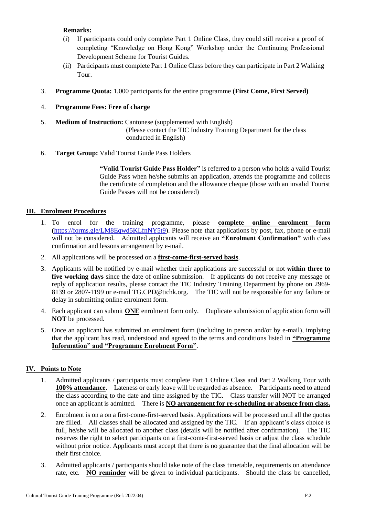## **Remarks:**

- (i) If participants could only complete Part 1 Online Class, they could still receive a proof of completing "Knowledge on Hong Kong" Workshop under the Continuing Professional Development Scheme for Tourist Guides.
- (ii) Participants must complete Part 1 Online Class before they can participate in Part 2 Walking Tour.
- 3. **Programme Quota:** 1,000 participants for the entire programme **(First Come, First Served)**
- 4. **Programme Fees: Free of charge**
- 5. **Medium of Instruction:** Cantonese (supplemented with English) (Please contact the TIC Industry Training Department for the class conducted in English)
- 6. **Target Group:** Valid Tourist Guide Pass Holders

**"Valid Tourist Guide Pass Holder"** is referred to a person who holds a valid Tourist Guide Pass when he/she submits an application, attends the programme and collects the certificate of completion and the allowance cheque (those with an invalid Tourist Guide Passes will not be considered)

## **III. Enrolment Procedures**

- 1. To enrol for the training programme, please **complete online enrolment form (**[https://forms.gle/LM8Eqwd5KLfnNY5t9\)](https://forms.gle/LM8Eqwd5KLfnNY5t9). Please note that applications by post, fax, phone or e-mail will not be considered. Admitted applicants will receive an **"Enrolment Confirmation"** with class confirmation and lessons arrangement by e-mail.
- 2. All applications will be processed on a **first-come-first-served basis**.
- 3. Applicants will be notified by e-mail whether their applications are successful or not **within three to five working days** since the date of online submission. If applicants do not receive any message or reply of application results, please contact the TIC Industry Training Department by phone on 2969- 8139 or 2807-1199 or e-mail [TG.CPD@tichk.org.](mailto:TG.CPD@tichk.org) The TIC will not be responsible for any failure or delay in submitting online enrolment form.
- 4. Each applicant can submit **ONE** enrolment form only. Duplicate submission of application form will **NOT** be processed.
- 5. Once an applicant has submitted an enrolment form (including in person and/or by e-mail), implying that the applicant has read, understood and agreed to the terms and conditions listed in **"Programme Information" and "Programme Enrolment Form"**.

## **IV. Points to Note**

- 1. Admitted applicants / participants must complete Part 1 Online Class and Part 2 Walking Tour with **100% attendance**. Lateness or early leave will be regarded as absence. Participants need to attend the class according to the date and time assigned by the TIC. Class transfer will NOT be arranged once an applicant is admitted. There is **NO arrangement for re-scheduling or absence from class.**
- 2. Enrolment is on a on a first-come-first-served basis. Applications will be processed until all the quotas are filled. All classes shall be allocated and assigned by the TIC. If an applicant's class choice is full, he/she will be allocated to another class (details will be notified after confirmation). The TIC reserves the right to select participants on a first-come-first-served basis or adjust the class schedule without prior notice. Applicants must accept that there is no guarantee that the final allocation will be their first choice.
- 3. Admitted applicants / participants should take note of the class timetable, requirements on attendance rate, etc. **NO reminder** will be given to individual participants. Should the class be cancelled,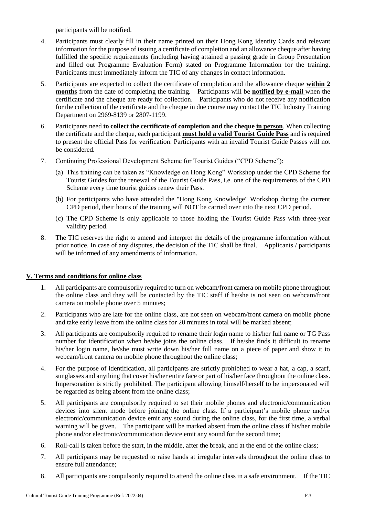participants will be notified.

- 4. Participants must clearly fill in their name printed on their Hong Kong Identity Cards and relevant information for the purpose of issuing a certificate of completion and an allowance cheque after having fulfilled the specific requirements (including having attained a passing grade in Group Presentation and filled out Programme Evaluation Form) stated on Programme Information for the training. Participants must immediately inform the TIC of any changes in contact information.
- 5. Participants are expected to collect the certificate of completion and the allowance cheque **within 2 months** from the date of completing the training. Participants will be **notified by e-mail** when the certificate and the cheque are ready for collection. Participants who do not receive any notification for the collection of the certificate and the cheque in due course may contact the TIC Industry Training Department on 2969-8139 or 2807-1199.
- 6. Participants need **to collect the certificate of completion and the cheque in person**. When collecting the certificate and the cheque, each participant **must hold a valid Tourist Guide Pass** and is required to present the official Pass for verification. Participants with an invalid Tourist Guide Passes will not be considered.
- 7. Continuing Professional Development Scheme for Tourist Guides ("CPD Scheme"):
	- (a) This training can be taken as "Knowledge on Hong Kong" Workshop under the CPD Scheme for Tourist Guides for the renewal of the Tourist Guide Pass, i.e. one of the requirements of the CPD Scheme every time tourist guides renew their Pass.
	- (b) For participants who have attended the "Hong Kong Knowledge" Workshop during the current CPD period, their hours of the training will NOT be carried over into the next CPD period.
	- (c) The CPD Scheme is only applicable to those holding the Tourist Guide Pass with three-year validity period.
- 8. The TIC reserves the right to amend and interpret the details of the programme information without prior notice. In case of any disputes, the decision of the TIC shall be final. Applicants / participants will be informed of any amendments of information.

## **V. Terms and conditions for online class**

- 1. All participants are compulsorily required to turn on webcam/front camera on mobile phone throughout the online class and they will be contacted by the TIC staff if he/she is not seen on webcam/front camera on mobile phone over 5 minutes;
- 2. Participants who are late for the online class, are not seen on webcam/front camera on mobile phone and take early leave from the online class for 20 minutes in total will be marked absent;
- 3. All participants are compulsorily required to rename their login name to his/her full name or TG Pass number for identification when he/she joins the online class. If he/she finds it difficult to rename his/her login name, he/she must write down his/her full name on a piece of paper and show it to webcam/front camera on mobile phone throughout the online class;
- 4. For the purpose of identification, all participants are strictly prohibited to wear a hat, a cap, a scarf, sunglasses and anything that cover his/her entire face or part of his/her face throughout the online class. Impersonation is strictly prohibited. The participant allowing himself/herself to be impersonated will be regarded as being absent from the online class;
- 5. All participants are compulsorily required to set their mobile phones and electronic/communication devices into silent mode before joining the online class. If a participant's mobile phone and/or electronic/communication device emit any sound during the online class, for the first time, a verbal warning will be given. The participant will be marked absent from the online class if his/her mobile phone and/or electronic/communication device emit any sound for the second time;
- 6. Roll-call is taken before the start, in the middle, after the break, and at the end of the online class;
- 7. All participants may be requested to raise hands at irregular intervals throughout the online class to ensure full attendance;
- 8. All participants are compulsorily required to attend the online class in a safe environment. If the TIC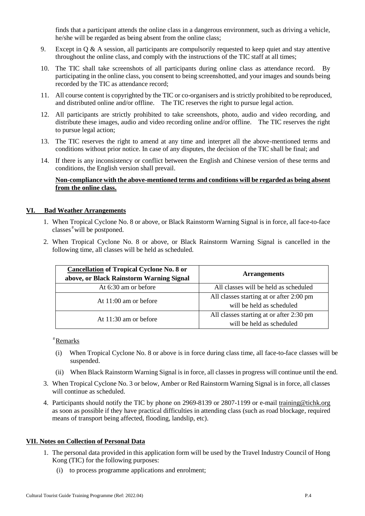finds that a participant attends the online class in a dangerous environment, such as driving a vehicle, he/she will be regarded as being absent from the online class;

- 9. Except in Q & A session, all participants are compulsorily requested to keep quiet and stay attentive throughout the online class, and comply with the instructions of the TIC staff at all times;
- 10. The TIC shall take screenshots of all participants during online class as attendance record. By participating in the online class, you consent to being screenshotted, and your images and sounds being recorded by the TIC as attendance record;
- 11. All course content is copyrighted by the TIC or co-organisers and is strictly prohibited to be reproduced, and distributed online and/or offline. The TIC reserves the right to pursue legal action.
- 12. All participants are strictly prohibited to take screenshots, photo, audio and video recording, and distribute these images, audio and video recording online and/or offline. The TIC reserves the right to pursue legal action;
- 13. The TIC reserves the right to amend at any time and interpret all the above-mentioned terms and conditions without prior notice. In case of any disputes, the decision of the TIC shall be final; and
- 14. If there is any inconsistency or conflict between the English and Chinese version of these terms and conditions, the English version shall prevail.

## **Non-compliance with the above-mentioned terms and conditions will be regarded as being absent from the online class.**

#### **VI. Bad Weather Arrangements**

- 1. When Tropical Cyclone No. 8 or above, or Black Rainstorm Warning Signal is in force, all face-to-face classes $*$  will be postponed.
- 2. When Tropical Cyclone No. 8 or above, or Black Rainstorm Warning Signal is cancelled in the following time, all classes will be held as scheduled.

| <b>Cancellation of Tropical Cyclone No. 8 or</b><br>above, or Black Rainstorm Warning Signal | <b>Arrangements</b>                                                   |
|----------------------------------------------------------------------------------------------|-----------------------------------------------------------------------|
| At 6:30 am or before                                                                         | All classes will be held as scheduled                                 |
| At $11:00$ am or before                                                                      | All classes starting at or after 2:00 pm<br>will be held as scheduled |
| At $11:30$ am or before                                                                      | All classes starting at or after 2:30 pm<br>will be held as scheduled |

#Remarks

- (i) When Tropical Cyclone No. 8 or above is in force during class time, all face-to-face classes will be suspended.
- (ii) When Black Rainstorm Warning Signal is in force, all classes in progress will continue until the end.
- 3. When Tropical Cyclone No. 3 or below, Amber or Red Rainstorm Warning Signal is in force, all classes will continue as scheduled.
- 4. Participants should notify the TIC by phone on 2969-8139 or 2807-1199 or e-mail [training@tichk.org](mailto:training@tichk.org) as soon as possible if they have practical difficulties in attending class (such as road blockage, required means of transport being affected, flooding, landslip, etc).

#### **VII. Notes on Collection of Personal Data**

- 1. The personal data provided in this application form will be used by the Travel Industry Council of Hong Kong (TIC) for the following purposes:
	- (i) to process programme applications and enrolment;